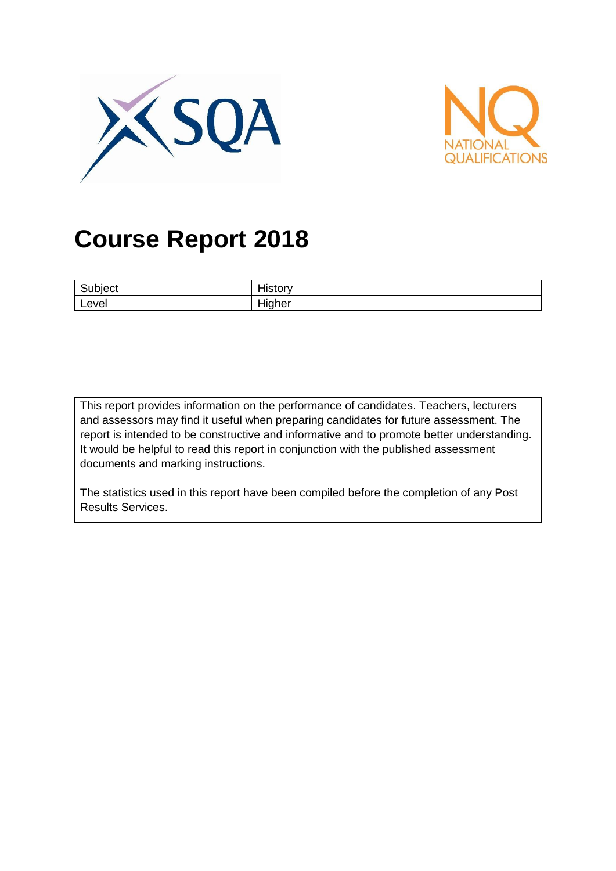



# **Course Report 2018**

| ∽<br>ıbıect | .<br>.<br>ושוכוו<br>. . |
|-------------|-------------------------|
| Level       | .<br>Hiaher<br>ור –     |

This report provides information on the performance of candidates. Teachers, lecturers and assessors may find it useful when preparing candidates for future assessment. The report is intended to be constructive and informative and to promote better understanding. It would be helpful to read this report in conjunction with the published assessment documents and marking instructions.

The statistics used in this report have been compiled before the completion of any Post Results Services.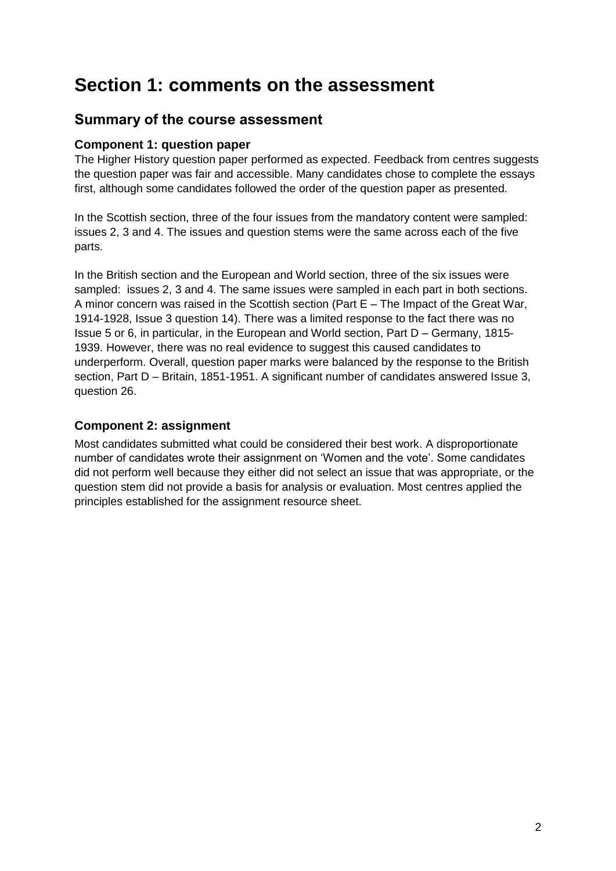# **Section 1: comments on the assessment**

### **Summary of the course assessment**

### **Component 1: question paper**

The Higher History question paper performed as expected. Feedback from centres suggests the question paper was fair and accessible. Many candidates chose to complete the essays first, although some candidates followed the order of the question paper as presented.

In the Scottish section, three of the four issues from the mandatory content were sampled: issues 2, 3 and 4. The issues and question stems were the same across each of the five parts.

In the British section and the European and World section, three of the six issues were sampled: issues 2, 3 and 4. The same issues were sampled in each part in both sections. A minor concern was raised in the Scottish section (Part E – The Impact of the Great War, 1914-1928, Issue 3 question 14). There was a limited response to the fact there was no Issue 5 or 6, in particular, in the European and World section, Part D – Germany, 1815- 1939. However, there was no real evidence to suggest this caused candidates to underperform. Overall, question paper marks were balanced by the response to the British section, Part D – Britain, 1851-1951. A significant number of candidates answered Issue 3, question 26.

#### **Component 2: assignment**

Most candidates submitted what could be considered their best work. A disproportionate number of candidates wrote their assignment on 'Women and the vote'. Some candidates did not perform well because they either did not select an issue that was appropriate, or the question stem did not provide a basis for analysis or evaluation. Most centres applied the principles established for the assignment resource sheet.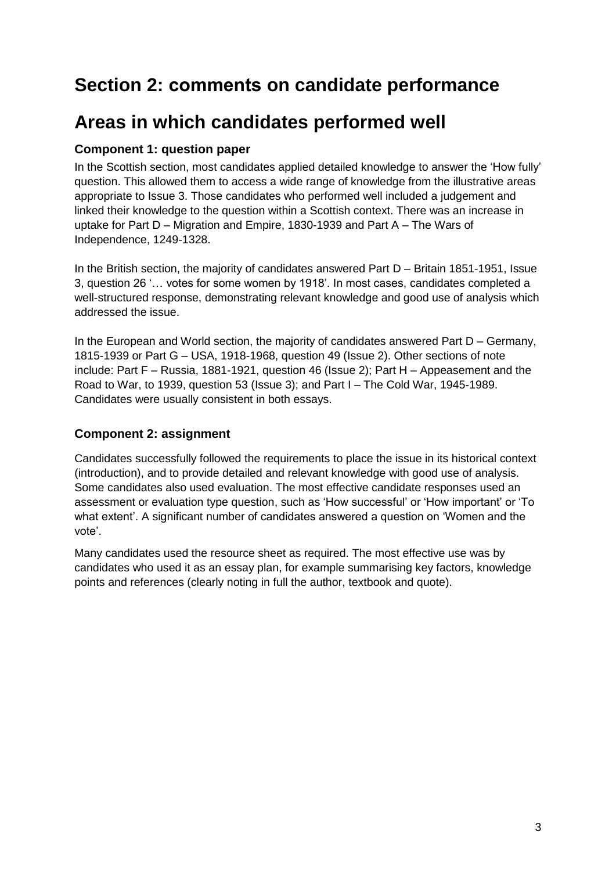# **Section 2: comments on candidate performance**

# **Areas in which candidates performed well**

### **Component 1: question paper**

In the Scottish section, most candidates applied detailed knowledge to answer the 'How fully' question. This allowed them to access a wide range of knowledge from the illustrative areas appropriate to Issue 3. Those candidates who performed well included a judgement and linked their knowledge to the question within a Scottish context. There was an increase in uptake for Part D – Migration and Empire, 1830-1939 and Part A – The Wars of Independence, 1249-1328.

In the British section, the majority of candidates answered Part D – Britain 1851-1951, Issue 3, question 26 '… votes for some women by 1918'. In most cases, candidates completed a well-structured response, demonstrating relevant knowledge and good use of analysis which addressed the issue.

In the European and World section, the majority of candidates answered Part D – Germany, 1815-1939 or Part G – USA, 1918-1968, question 49 (Issue 2). Other sections of note include: Part F – Russia, 1881-1921, question 46 (Issue 2); Part H – Appeasement and the Road to War, to 1939, question 53 (Issue 3); and Part I – The Cold War, 1945-1989. Candidates were usually consistent in both essays.

### **Component 2: assignment**

Candidates successfully followed the requirements to place the issue in its historical context (introduction), and to provide detailed and relevant knowledge with good use of analysis. Some candidates also used evaluation. The most effective candidate responses used an assessment or evaluation type question, such as 'How successful' or 'How important' or 'To what extent'. A significant number of candidates answered a question on 'Women and the vote'.

Many candidates used the resource sheet as required. The most effective use was by candidates who used it as an essay plan, for example summarising key factors, knowledge points and references (clearly noting in full the author, textbook and quote).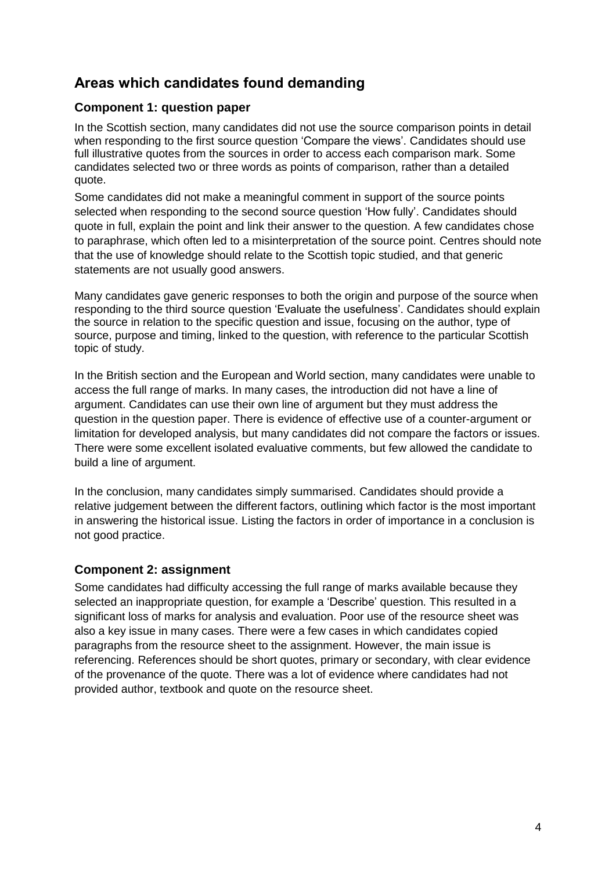### **Areas which candidates found demanding**

### **Component 1: question paper**

In the Scottish section, many candidates did not use the source comparison points in detail when responding to the first source question 'Compare the views'. Candidates should use full illustrative quotes from the sources in order to access each comparison mark. Some candidates selected two or three words as points of comparison, rather than a detailed quote.

Some candidates did not make a meaningful comment in support of the source points selected when responding to the second source question 'How fully'. Candidates should quote in full, explain the point and link their answer to the question. A few candidates chose to paraphrase, which often led to a misinterpretation of the source point. Centres should note that the use of knowledge should relate to the Scottish topic studied, and that generic statements are not usually good answers.

Many candidates gave generic responses to both the origin and purpose of the source when responding to the third source question 'Evaluate the usefulness'. Candidates should explain the source in relation to the specific question and issue, focusing on the author, type of source, purpose and timing, linked to the question, with reference to the particular Scottish topic of study.

In the British section and the European and World section, many candidates were unable to access the full range of marks. In many cases, the introduction did not have a line of argument. Candidates can use their own line of argument but they must address the question in the question paper. There is evidence of effective use of a counter-argument or limitation for developed analysis, but many candidates did not compare the factors or issues. There were some excellent isolated evaluative comments, but few allowed the candidate to build a line of argument.

In the conclusion, many candidates simply summarised. Candidates should provide a relative judgement between the different factors, outlining which factor is the most important in answering the historical issue. Listing the factors in order of importance in a conclusion is not good practice.

### **Component 2: assignment**

Some candidates had difficulty accessing the full range of marks available because they selected an inappropriate question, for example a 'Describe' question. This resulted in a significant loss of marks for analysis and evaluation. Poor use of the resource sheet was also a key issue in many cases. There were a few cases in which candidates copied paragraphs from the resource sheet to the assignment. However, the main issue is referencing. References should be short quotes, primary or secondary, with clear evidence of the provenance of the quote. There was a lot of evidence where candidates had not provided author, textbook and quote on the resource sheet.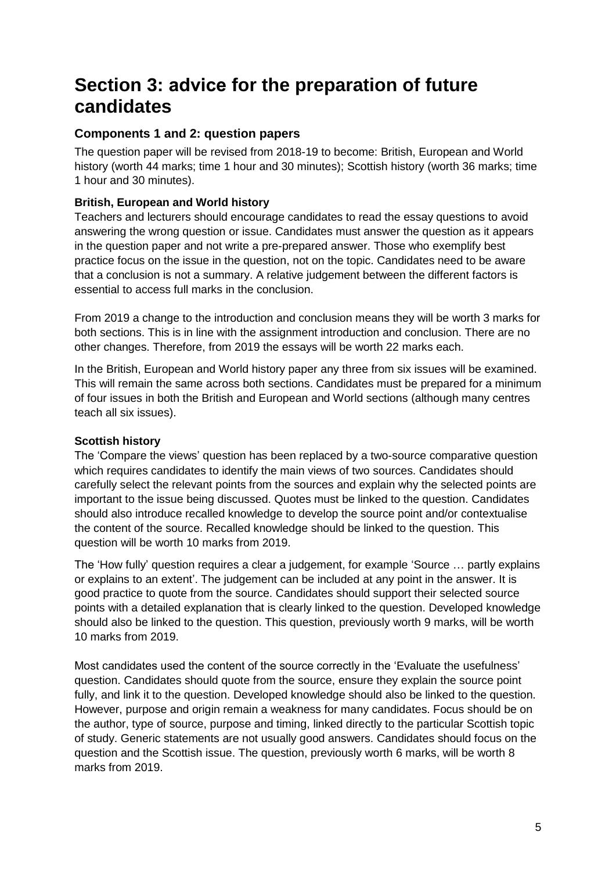# **Section 3: advice for the preparation of future candidates**

### **Components 1 and 2: question papers**

The question paper will be revised from 2018-19 to become: British, European and World history (worth 44 marks; time 1 hour and 30 minutes); Scottish history (worth 36 marks; time 1 hour and 30 minutes).

### **British, European and World history**

Teachers and lecturers should encourage candidates to read the essay questions to avoid answering the wrong question or issue. Candidates must answer the question as it appears in the question paper and not write a pre-prepared answer. Those who exemplify best practice focus on the issue in the question, not on the topic. Candidates need to be aware that a conclusion is not a summary. A relative judgement between the different factors is essential to access full marks in the conclusion.

From 2019 a change to the introduction and conclusion means they will be worth 3 marks for both sections. This is in line with the assignment introduction and conclusion. There are no other changes. Therefore, from 2019 the essays will be worth 22 marks each.

In the British, European and World history paper any three from six issues will be examined. This will remain the same across both sections. Candidates must be prepared for a minimum of four issues in both the British and European and World sections (although many centres teach all six issues).

#### **Scottish history**

The 'Compare the views' question has been replaced by a two-source comparative question which requires candidates to identify the main views of two sources. Candidates should carefully select the relevant points from the sources and explain why the selected points are important to the issue being discussed. Quotes must be linked to the question. Candidates should also introduce recalled knowledge to develop the source point and/or contextualise the content of the source. Recalled knowledge should be linked to the question. This question will be worth 10 marks from 2019.

The 'How fully' question requires a clear a judgement, for example 'Source … partly explains or explains to an extent'. The judgement can be included at any point in the answer. It is good practice to quote from the source. Candidates should support their selected source points with a detailed explanation that is clearly linked to the question. Developed knowledge should also be linked to the question. This question, previously worth 9 marks, will be worth 10 marks from 2019.

Most candidates used the content of the source correctly in the 'Evaluate the usefulness' question. Candidates should quote from the source, ensure they explain the source point fully, and link it to the question. Developed knowledge should also be linked to the question. However, purpose and origin remain a weakness for many candidates. Focus should be on the author, type of source, purpose and timing, linked directly to the particular Scottish topic of study. Generic statements are not usually good answers. Candidates should focus on the question and the Scottish issue. The question, previously worth 6 marks, will be worth 8 marks from 2019.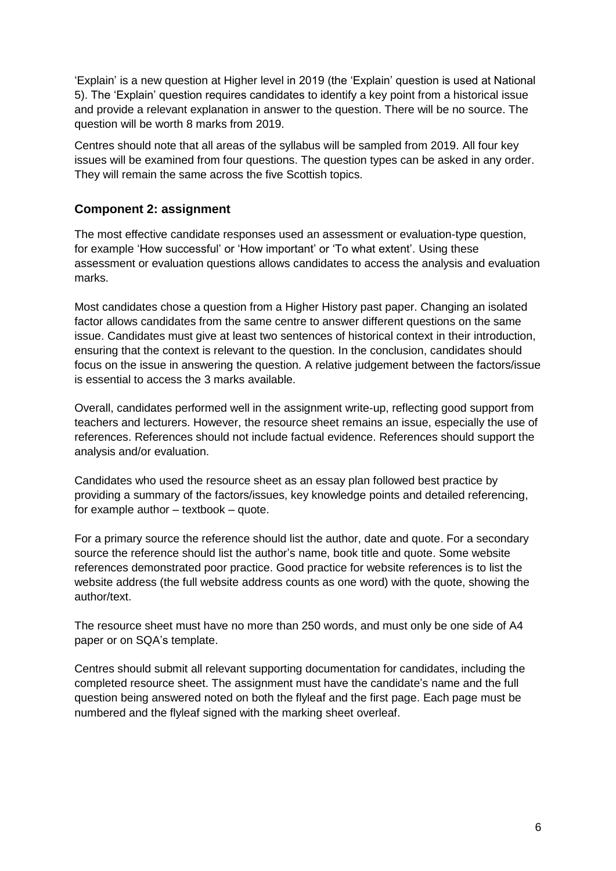'Explain' is a new question at Higher level in 2019 (the 'Explain' question is used at National 5). The 'Explain' question requires candidates to identify a key point from a historical issue and provide a relevant explanation in answer to the question. There will be no source. The question will be worth 8 marks from 2019.

Centres should note that all areas of the syllabus will be sampled from 2019. All four key issues will be examined from four questions. The question types can be asked in any order. They will remain the same across the five Scottish topics.

#### **Component 2: assignment**

The most effective candidate responses used an assessment or evaluation-type question, for example 'How successful' or 'How important' or 'To what extent'. Using these assessment or evaluation questions allows candidates to access the analysis and evaluation marks.

Most candidates chose a question from a Higher History past paper. Changing an isolated factor allows candidates from the same centre to answer different questions on the same issue. Candidates must give at least two sentences of historical context in their introduction, ensuring that the context is relevant to the question. In the conclusion, candidates should focus on the issue in answering the question. A relative judgement between the factors/issue is essential to access the 3 marks available.

Overall, candidates performed well in the assignment write-up, reflecting good support from teachers and lecturers. However, the resource sheet remains an issue, especially the use of references. References should not include factual evidence. References should support the analysis and/or evaluation.

Candidates who used the resource sheet as an essay plan followed best practice by providing a summary of the factors/issues, key knowledge points and detailed referencing, for example author – textbook – quote.

For a primary source the reference should list the author, date and quote. For a secondary source the reference should list the author's name, book title and quote. Some website references demonstrated poor practice. Good practice for website references is to list the website address (the full website address counts as one word) with the quote, showing the author/text.

The resource sheet must have no more than 250 words, and must only be one side of A4 paper or on SQA's template.

Centres should submit all relevant supporting documentation for candidates, including the completed resource sheet. The assignment must have the candidate's name and the full question being answered noted on both the flyleaf and the first page. Each page must be numbered and the flyleaf signed with the marking sheet overleaf.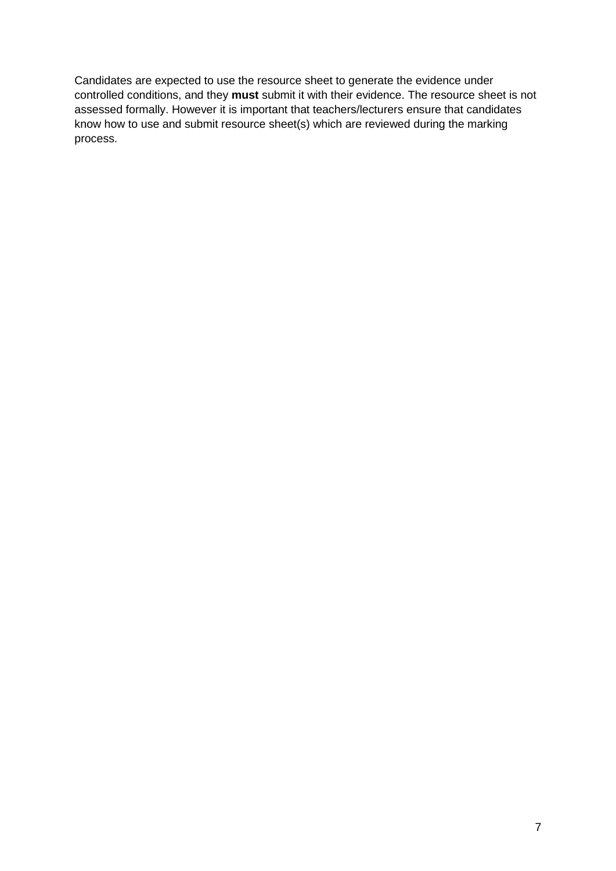Candidates are expected to use the resource sheet to generate the evidence under controlled conditions, and they **must** submit it with their evidence. The resource sheet is not assessed formally. However it is important that teachers/lecturers ensure that candidates know how to use and submit resource sheet(s) which are reviewed during the marking process.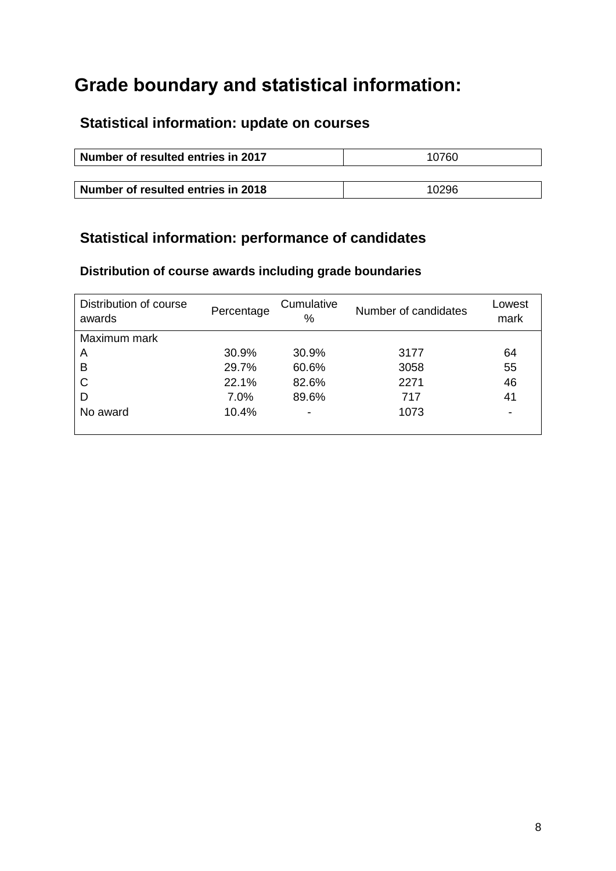# **Grade boundary and statistical information:**

### **Statistical information: update on courses**

| Number of resulted entries in 2017 | 10760 |
|------------------------------------|-------|
|                                    |       |
| Number of resulted entries in 2018 | 10296 |

### **Statistical information: performance of candidates**

### **Distribution of course awards including grade boundaries**

| Distribution of course<br>awards | Percentage | Cumulative<br>% | Number of candidates | Lowest<br>mark |
|----------------------------------|------------|-----------------|----------------------|----------------|
| Maximum mark                     |            |                 |                      |                |
| A                                | 30.9%      | 30.9%           | 3177                 | 64             |
| B                                | 29.7%      | 60.6%           | 3058                 | 55             |
| C                                | 22.1%      | 82.6%           | 2271                 | 46             |
| D                                | 7.0%       | 89.6%           | 717                  | 41             |
| No award                         | 10.4%      | ۰               | 1073                 | -              |
|                                  |            |                 |                      |                |